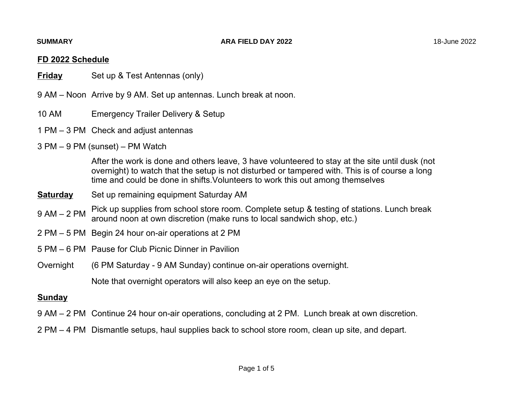# **FD 2022 Schedule**

- **Friday**Set up & Test Antennas (only)
- 9 AM Noon Arrive by 9 AM. Set up antennas. Lunch break at noon.
- 10 AM Emergency Trailer Delivery & Setup
- 1 PM 3 PM Check and adjust antennas
- 3 PM 9 PM (sunset) PM Watch

After the work is done and others leave, 3 have volunteered to stay at the site until dusk (not overnight) to watch that the setup is not disturbed or tampered with. This is of course a long time and could be done in shifts.Volunteers to work this out among themselves

- **Saturday**Set up remaining equipment Saturday AM
- Pick up supplies from school store room. Complete setup & testing of stations. Lunch break 9 AM – 2 PMaround noon at own discretion (make runs to local sandwich shop, etc.)
- 2 PM 5 PM Begin 24 hour on-air operations at 2 PM
- 5 PM 6 PM Pause for Club Picnic Dinner in Pavilion
- Overnight (6 PM Saturday 9 AM Sunday) continue on-air operations overnight.

Note that overnight operators will also keep an eye on the setup.

## **Sunday**

- 9 AM 2 PM Continue 24 hour on-air operations, concluding at 2 PM. Lunch break at own discretion.
- 2 PM 4 PM Dismantle setups, haul supplies back to school store room, clean up site, and depart.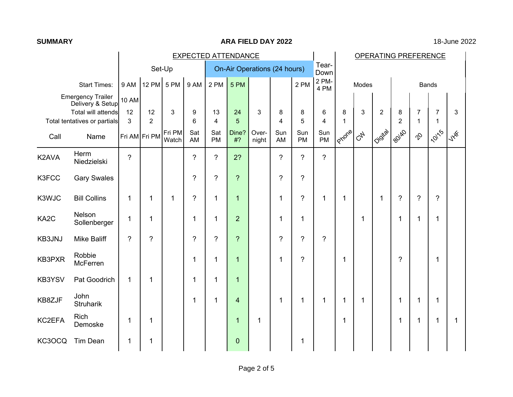### **ARA FIELD DAY 2022** 18-June 2022

|                   |                                                                    | <b>EXPECTED ATTENDANCE</b> |                |                              |                |                  |                |                | <b>OPERATING PREFERENCE</b> |                |                  |             |           |                |                |                |                |        |
|-------------------|--------------------------------------------------------------------|----------------------------|----------------|------------------------------|----------------|------------------|----------------|----------------|-----------------------------|----------------|------------------|-------------|-----------|----------------|----------------|----------------|----------------|--------|
| Set-Up            |                                                                    |                            |                | On-Air Operations (24 hours) |                |                  |                |                | Tear-<br>Down               |                |                  |             |           |                |                |                |                |        |
|                   | <b>Start Times:</b>                                                | 9 AM                       | <b>12 PM</b>   | 5 PM                         | 9 AM           | 2 PM             | 5 PM           |                |                             | 2 PM           | 2 PM-<br>4 PM    |             | Modes     |                |                |                | <b>Bands</b>   |        |
|                   | <b>Emergency Trailer</b><br>Delivery & Setup<br>Total will attends | <b>10 AM</b><br>12         | 12             | 3                            | 9              | 13               | 24             | 3              | 8                           | 8              | 6                | 8           | 3         | $\overline{2}$ | 8              | $\overline{7}$ | 7              | 3      |
|                   | Total tentatives or partials                                       | 3                          | $\overline{2}$ |                              | 6              | 4                | 5              |                | $\overline{\mathbf{4}}$     | 5              | $\overline{4}$   | $\mathbf 1$ |           |                | $\overline{2}$ | 1              | 1              |        |
| Call              | Name                                                               |                            | Fri AM Fri PM  | Fri PM<br>Watch              | Sat<br>AM      | Sat<br><b>PM</b> | Dine?<br>#?    | Over-<br>night | Sun<br>AM                   | Sun<br>PM      | Sun<br><b>PM</b> | IProne      | <b>CA</b> | IQidital       | 180140         | $\varphi$      | <b>10115</b>   | $Lx^*$ |
| K2AVA             | Herm<br>Niedzielski                                                | $\tilde{?}$                |                |                              | $\gamma$       | $\gamma$         | 2?             |                | $\gamma$                    | $\gamma$       | $\overline{?}$   |             |           |                |                |                |                |        |
| K3FCC             | <b>Gary Swales</b>                                                 |                            |                |                              | ?              | $\overline{?}$   | $\overline{?}$ |                | $\overline{?}$              | $\overline{?}$ |                  |             |           |                |                |                |                |        |
| K3WJC             | <b>Bill Collins</b>                                                | $\mathbf{1}$               | $\mathbf 1$    | 1                            | $\gamma$       | $\mathbf 1$      | $\mathbf{1}$   |                | $\mathbf 1$                 | $\overline{?}$ | $\mathbf 1$      | $\mathbf 1$ |           | $\mathbf{1}$   | $\overline{?}$ | $\overline{?}$ | $\overline{?}$ |        |
| KA <sub>2</sub> C | Nelson<br>Sollenberger                                             | $\mathbf 1$                | 1              |                              | 1              | 1                | $\overline{2}$ |                | 1                           | $\mathbf{1}$   |                  |             | 1         |                | 1              | 1              | 1              |        |
| KB3JNJ            | <b>Mike Baliff</b>                                                 | $\tilde{?}$                | ?              |                              | $\overline{?}$ | $\overline{?}$   | $\overline{?}$ |                | $\overline{?}$              | $\overline{?}$ | $\tilde{?}$      |             |           |                |                |                |                |        |
| KB3PXR            | Robbie<br>McFerren                                                 |                            |                |                              | 1              | 1                | $\mathbf 1$    |                | 1                           | $\overline{?}$ |                  | $\mathbf 1$ |           |                | ?              |                | 1              |        |
| KB3YSV            | Pat Goodrich                                                       | $\mathbf{1}$               | $\mathbf 1$    |                              | 1              | $\mathbf 1$      | $\mathbf{1}$   |                |                             |                |                  |             |           |                |                |                |                |        |
| KB8ZJF            | John<br><b>Struharik</b>                                           |                            |                |                              | 1              | 1                | 4              |                | 1                           | 1              | 1                | $\mathbf 1$ | 1         |                | 1              | 1              | 1              |        |
| KC2EFA            | <b>Rich</b><br>Demoske                                             | 1                          | 1              |                              |                |                  | $\mathbf 1$    | 1              |                             |                |                  | $\mathbf 1$ |           |                | 1              | 1              | 1              | 1      |
| KC3OCQ            | <b>Tim Dean</b>                                                    | 1                          | 1              |                              |                |                  | $\overline{0}$ |                |                             | 1              |                  |             |           |                |                |                |                |        |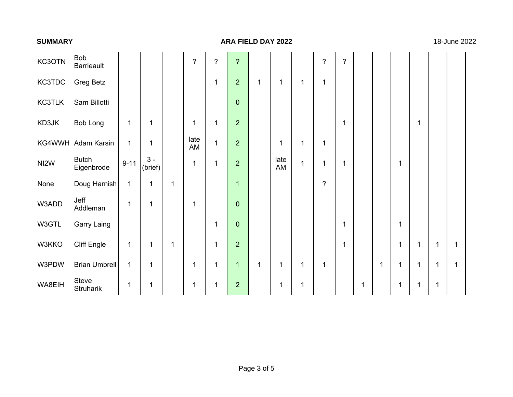#### **ARA FIELD DAY 2022** 18-June 2022

| KC3OTN        | Bob<br><b>Barrieault</b>   |              |                  |   | $\ddot{\phantom{0}}$ | $\overline{?}$ | $\ddot{?}$     |              |             |             | $\ddot{?}$     | $\overline{\phantom{a}}$ |   |   |   |             |   |              |  |
|---------------|----------------------------|--------------|------------------|---|----------------------|----------------|----------------|--------------|-------------|-------------|----------------|--------------------------|---|---|---|-------------|---|--------------|--|
| KC3TDC        | <b>Greg Betz</b>           |              |                  |   |                      | 1              | $\overline{2}$ | $\mathbf{1}$ | $\mathbf 1$ | $\mathbf 1$ | 1              |                          |   |   |   |             |   |              |  |
| <b>KC3TLK</b> | Sam Billotti               |              |                  |   |                      |                | $\mathbf 0$    |              |             |             |                |                          |   |   |   |             |   |              |  |
| KD3JK         | Bob Long                   | 1            | $\mathbf{1}$     |   | 1                    | 1              | $\overline{2}$ |              |             |             |                | 1                        |   |   |   | $\mathbf 1$ |   |              |  |
|               | KG4WWH Adam Karsin         | $\mathbf{1}$ | $\mathbf{1}$     |   | late<br>AM           | $\mathbf{1}$   | $\overline{2}$ |              | 1           | 1           | 1              |                          |   |   |   |             |   |              |  |
| NI2W          | <b>Butch</b><br>Eigenbrode | $9 - 11$     | $3 -$<br>(brief) |   | 1                    | 1              | $\overline{2}$ |              | late<br>AM  | $\mathbf 1$ | 1              | $\mathbf 1$              |   |   |   |             |   |              |  |
| None          | Doug Harnish               | $\mathbf 1$  | $\mathbf{1}$     | 1 |                      |                | 1              |              |             |             | $\overline{?}$ |                          |   |   |   |             |   |              |  |
| W3ADD         | Jeff<br>Addleman           | $\mathbf 1$  | $\mathbf{1}$     |   | 1                    |                | $\overline{0}$ |              |             |             |                |                          |   |   |   |             |   |              |  |
| W3GTL         | <b>Garry Laing</b>         |              |                  |   |                      | $\mathbf{1}$   | $\overline{0}$ |              |             |             |                | 1                        |   |   | 1 |             |   |              |  |
| W3KKO         | <b>Cliff Engle</b>         | $\mathbf 1$  | $\mathbf{1}$     | 1 |                      | $\mathbf{1}$   | $\overline{2}$ |              |             |             |                | 1                        |   |   |   | $\mathbf 1$ | 1 | 1            |  |
| W3PDW         | Brian Umbrell              | $\mathbf 1$  | $\mathbf{1}$     |   | 1                    | 1              | $\mathbf 1$    | $\mathbf 1$  | 1           | 1           | 1              |                          |   | 1 |   | 1           | 1 | $\mathbf{1}$ |  |
| WA8EIH        | Steve<br>Struharik         | 1            | 1                |   | 1                    | 1              | $\overline{2}$ |              | 1           | 1           |                |                          | 1 |   |   | $\mathbf 1$ | 1 |              |  |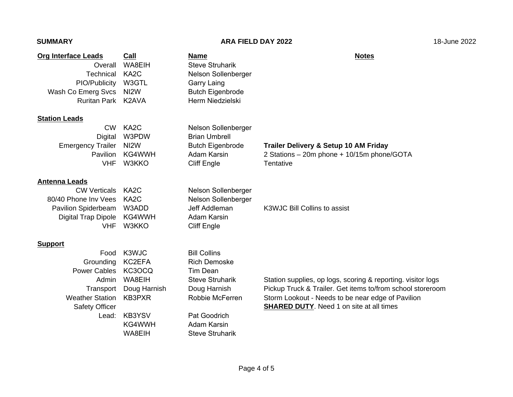## **ARA FIELD DAY 2022** 18-June 2022

| <b>Org Interface Leads</b> | Call              | Name                                       | <b>Notes</b>                                                 |
|----------------------------|-------------------|--------------------------------------------|--------------------------------------------------------------|
| Overall                    | WA8EIH            | <b>Steve Struharik</b>                     |                                                              |
| Technical                  | KA <sub>2</sub> C | Nelson Sollenberger                        |                                                              |
| PIO/Publicity              | W3GTL             | <b>Garry Laing</b>                         |                                                              |
| Wash Co Emerg Svcs         | N <sub>12</sub> W | <b>Butch Eigenbrode</b>                    |                                                              |
| <b>Ruritan Park</b>        | K2AVA             | Herm Niedzielski                           |                                                              |
| <b>Station Leads</b>       |                   |                                            |                                                              |
| <b>CW</b>                  | KA <sub>2</sub> C | Nelson Sollenberger                        |                                                              |
| <b>Digital</b>             | W3PDW             | <b>Brian Umbrell</b>                       |                                                              |
| <b>Emergency Trailer</b>   | N <sub>12</sub> W | <b>Butch Eigenbrode</b>                    | Trailer Delivery & Setup 10 AM Friday                        |
| Pavilion                   | KG4WWH            | Adam Karsin                                | 2 Stations - 20m phone + 10/15m phone/GOTA                   |
| <b>VHF</b>                 | W3KKO             | <b>Cliff Engle</b>                         | Tentative                                                    |
| <b>Antenna Leads</b>       |                   |                                            |                                                              |
| <b>CW Verticals</b>        | KA <sub>2</sub> C | Nelson Sollenberger                        |                                                              |
| 80/40 Phone Inv Vees       | KA <sub>2</sub> C | Nelson Sollenberger                        |                                                              |
| Pavilion Spiderbeam        | W3ADD             | Jeff Addleman                              | K3WJC Bill Collins to assist                                 |
| Digital Trap Dipole        | KG4WWH            | <b>Adam Karsin</b>                         |                                                              |
| <b>VHF</b>                 | W3KKO             | <b>Cliff Engle</b>                         |                                                              |
|                            |                   |                                            |                                                              |
| <b>Support</b>             |                   |                                            |                                                              |
| Food<br>Grounding          | K3WJC<br>KC2EFA   | <b>Bill Collins</b><br><b>Rich Demoske</b> |                                                              |
| <b>Power Cables</b>        | KC3OCQ            | <b>Tim Dean</b>                            |                                                              |
| Admin                      | WA8EIH            | <b>Steve Struharik</b>                     | Station supplies, op logs, scoring & reporting. visitor logs |
| Transport                  | Doug Harnish      | Doug Harnish                               | Pickup Truck & Trailer. Get items to/from school storeroom   |
| <b>Weather Station</b>     | KB3PXR            | Robbie McFerren                            | Storm Lookout - Needs to be near edge of Pavilion            |
| Safety Officer             |                   |                                            | <b>SHARED DUTY.</b> Need 1 on site at all times              |
| Lead:                      | KB3YSV            | Pat Goodrich                               |                                                              |
|                            | KG4WWH            | <b>Adam Karsin</b>                         |                                                              |
|                            | WA8EIH            | <b>Steve Struharik</b>                     |                                                              |
|                            |                   |                                            |                                                              |
|                            |                   |                                            |                                                              |